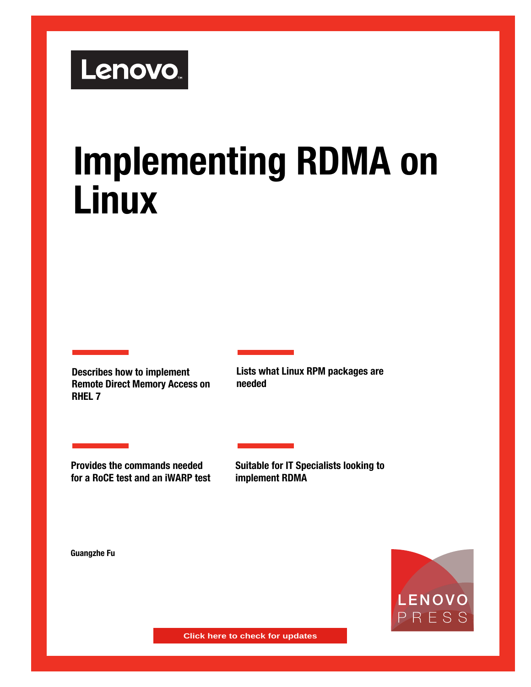

# **Implementing RDMA on Linux**

**Describes how to implement Remote Direct Memory Access on RHEL 7**

**Lists what Linux RPM packages are needed**

**Provides the commands needed for a RoCE test and an iWARP test**

**Suitable for IT Specialists looking to implement RDMA**

**Guangzhe Fu**



**Click here to check for updates**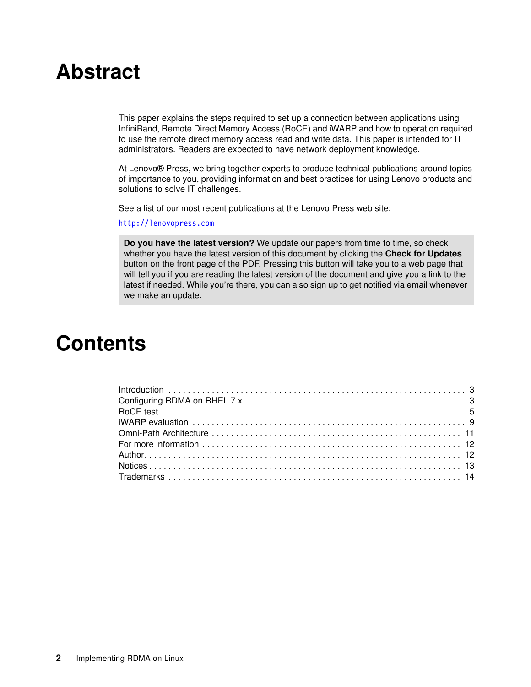# **Abstract**

This paper explains the steps required to set up a connection between applications using InfiniBand, Remote Direct Memory Access (RoCE) and iWARP and how to operation required to use the remote direct memory access read and write data. This paper is intended for IT administrators. Readers are expected to have network deployment knowledge.

At Lenovo® Press, we bring together experts to produce technical publications around topics of importance to you, providing information and best practices for using Lenovo products and solutions to solve IT challenges.

See a list of our most recent publications at the Lenovo Press web site:

<http://lenovopress.com>

**Do you have the latest version?** We update our papers from time to time, so check whether you have the latest version of this document by clicking the **Check for Updates** button on the front page of the PDF. Pressing this button will take you to a web page that will tell you if you are reading the latest version of the document and give you a link to the latest if needed. While you're there, you can also sign up to get notified via email whenever we make an update.

# **Contents**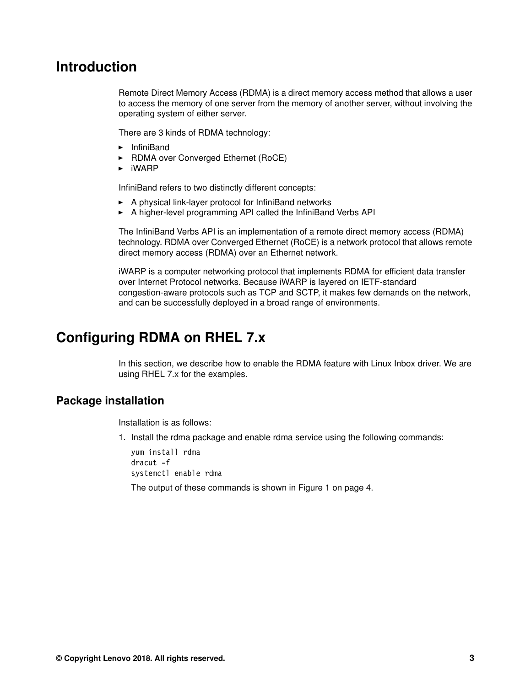### <span id="page-2-0"></span>**Introduction**

Remote Direct Memory Access (RDMA) is a direct memory access method that allows a user to access the memory of one server from the memory of another server, without involving the operating system of either server.

There are 3 kinds of RDMA technology:

- InfiniBand
- ► RDMA over Converged Ethernet (RoCE)
- $\blacktriangleright$  iWARP

InfiniBand refers to two distinctly different concepts:

- A physical link-layer protocol for InfiniBand networks
- A higher-level programming API called the InfiniBand Verbs API

The InfiniBand Verbs API is an implementation of a remote direct memory access (RDMA) technology. RDMA over Converged Ethernet (RoCE) is a network protocol that allows remote direct memory access (RDMA) over an Ethernet network.

iWARP is a computer networking protocol that implements RDMA for efficient data transfer over Internet Protocol networks. Because iWARP is layered on IETF-standard congestion-aware protocols such as TCP and SCTP, it makes few demands on the network, and can be successfully deployed in a broad range of environments.

# <span id="page-2-1"></span>**Configuring RDMA on RHEL 7.x**

In this section, we describe how to enable the RDMA feature with Linux Inbox driver. We are using RHEL 7.x for the examples.

#### **Package installation**

Installation is as follows:

1. Install the rdma package and enable rdma service using the following commands:

yum install rdma dracut -f systemctl enable rdma

The output of these commands is shown in [Figure 1 on page 4.](#page-3-0)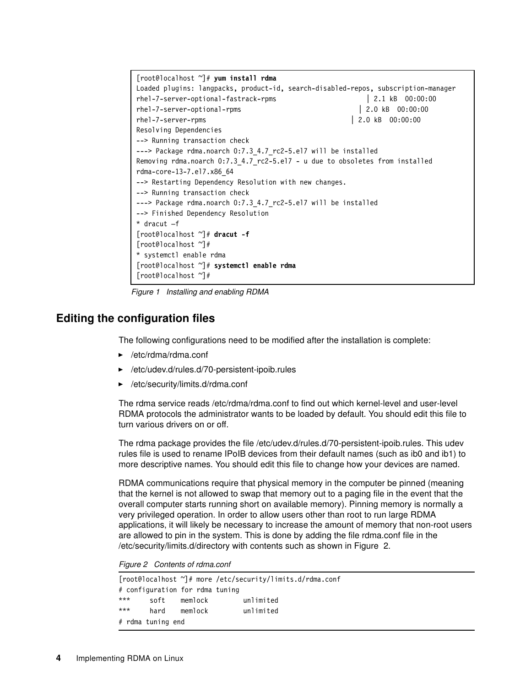```
[root@localhost ~]# yum install rdma
Loaded plugins: langpacks, product-id, search-disabled-repos, subscription-manager
rhel-7-server-optional-fastrack-rpms | 2.1 kB 00:00:00
rhel-7-server-optional-rpms | 2.0 kB 00:00:00
rhel-7-server-rpms | 2.0 kB 00:00:00
Resolving Dependencies
--> Running transaction check
---> Package rdma.noarch 0:7.3 4.7 rc2-5.el7 will be installed
Removing rdma.noarch 0:7.3 4.7 rc2-5.el7 - u due to obsoletes from installed
rdma-core-13-7.el7.x86_64
--> Restarting Dependency Resolution with new changes.
--> Running transaction check
---> Package rdma.noarch 0:7.3 4.7 rc2-5.el7 will be installed
--> Finished Dependency Resolution
* dracut –f
[root@localhost ~]# dracut -f
[root@localhost ~]#
* systemctl enable rdma
[root@localhost ~]# systemctl enable rdma
[root@localhost ~]#
```
<span id="page-3-0"></span>*Figure 1 Installing and enabling RDMA*

#### **Editing the configuration files**

The following configurations need to be modified after the installation is complete:

- ► /etc/rdma/rdma.conf
- ► /etc/udev.d/rules.d/70-persistent-ipoib.rules
- -/etc/security/limits.d/rdma.conf

The rdma service reads /etc/rdma/rdma.conf to find out which kernel-level and user-level RDMA protocols the administrator wants to be loaded by default. You should edit this file to turn various drivers on or off.

The rdma package provides the file /etc/udev.d/rules.d/70-persistent-ipoib.rules. This udev rules file is used to rename IPoIB devices from their default names (such as ib0 and ib1) to more descriptive names. You should edit this file to change how your devices are named.

RDMA communications require that physical memory in the computer be pinned (meaning that the kernel is not allowed to swap that memory out to a paging file in the event that the overall computer starts running short on available memory). Pinning memory is normally a very privileged operation. In order to allow users other than root to run large RDMA applications, it will likely be necessary to increase the amount of memory that non-root users are allowed to pin in the system. This is done by adding the file rdma.conf file in the /etc/security/limits.d/directory with contents such as shown in [Figure 2.](#page-3-1)

<span id="page-3-1"></span>*Figure 2 Contents of rdma.conf*

| [root@localhost ~]# more /etc/security/limits.d/rdma.conf |                   |                                 |           |
|-----------------------------------------------------------|-------------------|---------------------------------|-----------|
|                                                           |                   | # configuration for rdma tuning |           |
| $***$                                                     | soft              | memlock                         | unlimited |
| $***$                                                     | hard              | memlock                         | unlimited |
|                                                           | # rdma tuning end |                                 |           |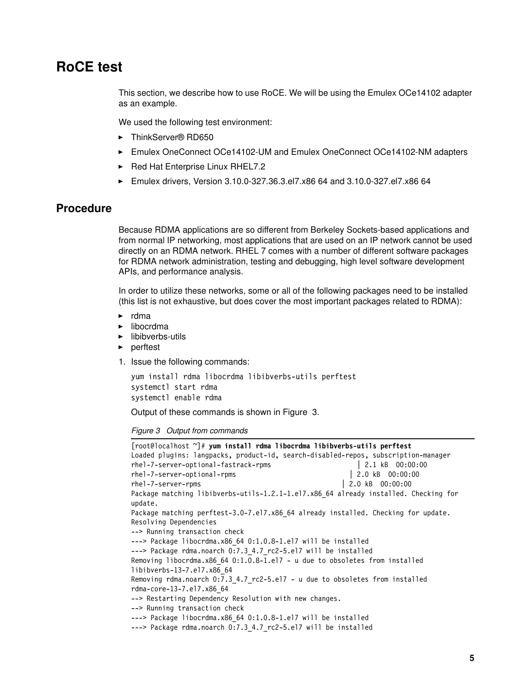### <span id="page-4-0"></span>**RoCE test**

This section, we describe how to use RoCE. We will be using the Emulex OCe14102 adapter as an example.

We used the following test environment:

- ThinkServer® RD650
- ► Emulex OneConnect OCe14102-UM and Emulex OneConnect OCe14102-NM adapters
- ► Red Hat Enterprise Linux RHEL7.2
- Emulex drivers, Version 3.10.0-327.36.3.el7.x86 64 and 3.10.0-327.el7.x86 64

#### **Procedure**

Because RDMA applications are so different from Berkeley Sockets-based applications and from normal IP networking, most applications that are used on an IP network cannot be used directly on an RDMA network. RHEL 7 comes with a number of different software packages for RDMA network administration, testing and debugging, high level software development APIs, and performance analysis.

In order to utilize these networks, some or all of the following packages need to be installed (this list is not exhaustive, but does cover the most important packages related to RDMA):

- ► rdma
- libocrdma
- ► libibverbs-utils
- ► perftest
- <span id="page-4-2"></span>1. Issue the following commands:

```
yum install rdma libocrdma libibverbs-utils perftest
systemctl start rdma
systemctl enable rdma
```
Output of these commands is shown in [Figure 3.](#page-4-1)

<span id="page-4-1"></span>*Figure 3 Output from commands*

```
[root@localhost ~]# yum install rdma libocrdma libibverbs-utils perftest
Loaded plugins: langpacks, product-id, search-disabled-repos, subscription-manager
rhel-7-server-optional-fastrack-rpms | 2.1 kB 00:00:00
rhel-7-server-optional-rpms | 2.0 kB 00:00:00
rhel-7-server-rpms | 2.0 kB 00:00:00
Package matching libibverbs-utils-1.2.1-1.el7.x86_64 already installed. Checking for 
update.
Package matching perftest-3.0-7.el7.x86 64 already installed. Checking for update.
Resolving Dependencies
--> Running transaction check
---> Package libocrdma.x86 64 0:1.0.8-1.el7 will be installed
---> Package rdma.noarch 0:7.3 4.7 rc2-5.el7 will be installed
Removing libocrdma.x86_64 0:1.0.8-1.el7 - u due to obsoletes from installed 
libibverbs-13-7.el7.x86_64
Removing rdma.noarch 0:7.3_4.7_rc2-5.el7 - u due to obsoletes from installed 
rdma-core-13-7.el7.x86_64
--> Restarting Dependency Resolution with new changes.
--> Running transaction check
---> Package libocrdma.x86 64 0:1.0.8-1.el7 will be installed
---> Package rdma.noarch 0:7.3 4.7 rc2-5.el7 will be installed
```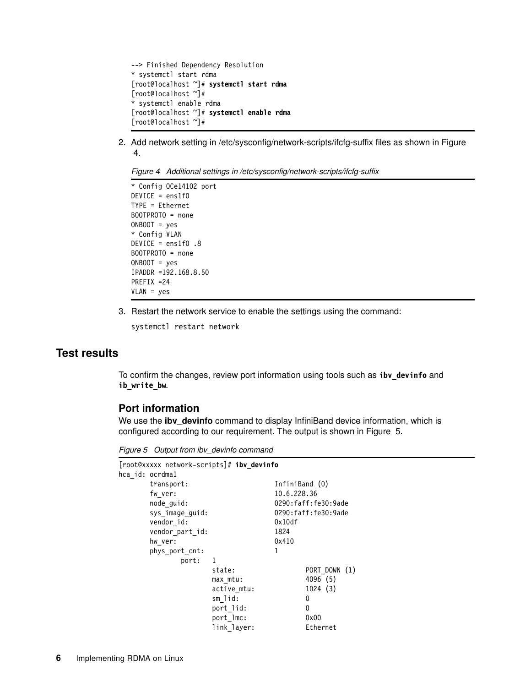```
--> Finished Dependency Resolution
* systemctl start rdma
[root@localhost ~]# systemctl start rdma
[root@localhost ~]#
* systemctl enable rdma
[root@localhost ~]# systemctl enable rdma
[root@localhost ~]#
```
2. Add network setting in /etc/sysconfig/network-scripts/ifcfg-suffix files as shown in [Figure](#page-5-0)  [4.](#page-5-0)

<span id="page-5-0"></span>*Figure 4 Additional settings in /etc/sysconfig/network-scripts/ifcfg-suffix*

```
* Config OCe14102 port
DEVICE = ens1f0
TYPE = Ethernet
BOOTPROTO = none
ONBOOT = yes
* Config VLAN
DEVICE = ens1f0 .8
BOOTPROTO = none
ONBOOT = yes
IPADDR =192.168.8.50
PREFIX =24
VLAN = yes
```
3. Restart the network service to enable the settings using the command:

systemctl restart network

#### **Test results**

To confirm the changes, review port information using tools such as **ibv\_devinfo** and **ib\_write\_bw**.

#### **Port information**

We use the **ibv\_devinfo** command to display InfiniBand device information, which is configured according to our requirement. The output is shown in [Figure 5.](#page-5-1)

<span id="page-5-1"></span>*Figure 5 Output from ibv\_devinfo command*

|                 | [root@xxxxx network-scripts]# ibv_devinfo |                |                     |
|-----------------|-------------------------------------------|----------------|---------------------|
| hca id: ocrdmal |                                           |                |                     |
| transport:      |                                           | InfiniBand (0) |                     |
| fw ver:         |                                           | 10.6.228.36    |                     |
| node guid:      |                                           |                | 0290:faff:fe30:9ade |
| sys image guid: |                                           |                | 0290:faff:fe30:9ade |
| vendor id:      |                                           | 0x10df         |                     |
| vendor part id: |                                           | 1824           |                     |
| hw ver:         |                                           | 0x410          |                     |
| phys port cnt:  |                                           | 1              |                     |
| port:           | 1                                         |                |                     |
|                 | state:                                    |                | PORT DOWN (1)       |
|                 | max mtu:                                  |                | 4096 (5)            |
|                 | active mtu:                               |                | 1024(3)             |
|                 | sm lid:                                   |                | 0                   |
|                 | port lid:                                 |                | 0                   |
|                 | port lmc:                                 |                | 0x00                |
|                 | link layer:                               |                | Ethernet            |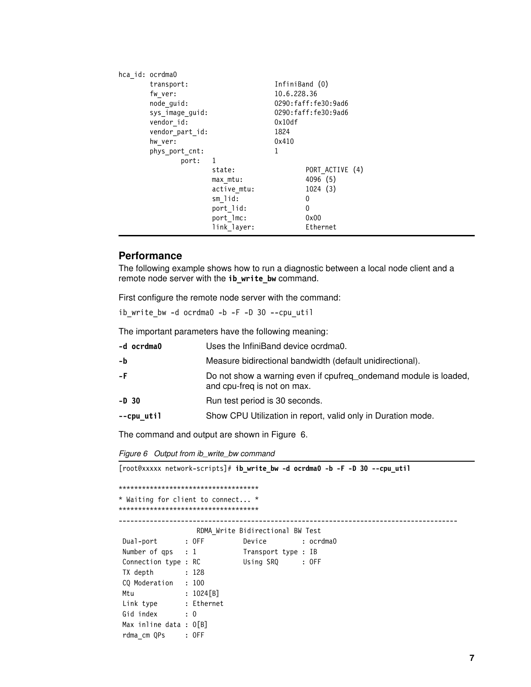| hca id: ocrdma0 |             |                |                     |
|-----------------|-------------|----------------|---------------------|
| transport:      |             | InfiniBand (0) |                     |
| fw ver:         |             | 10.6.228.36    |                     |
| node_guid:      |             |                | 0290:faff:fe30:9ad6 |
| sys image guid: |             |                | 0290:faff:fe30:9ad6 |
| vendor id:      |             | 0x10df         |                     |
| vendor part id: |             | 1824           |                     |
| hw ver:         |             | 0x410          |                     |
| phys port cnt:  |             |                |                     |
| port:           | -1          |                |                     |
|                 | state:      |                | PORT ACTIVE (4)     |
|                 | max mtu:    |                | 4096 (5)            |
|                 | active mtu: |                | 1024(3)             |
|                 | sm lid:     |                | 0                   |
|                 | port lid:   |                | 0                   |
|                 | port lmc:   |                | 0x00                |
|                 | link layer: |                | Ethernet            |
|                 |             |                |                     |

#### **Performance**

The following example shows how to run a diagnostic between a local node client and a remote node server with the **ib\_write\_bw** command.

First configure the remote node server with the command:

ib\_write\_bw -d ocrdma0 -b -F -D 30 --cpu\_util

The important parameters have the following meaning:

| -d ocrdma0 | Uses the InfiniBand device ocrdma0.                                                             |
|------------|-------------------------------------------------------------------------------------------------|
| -b         | Measure bidirectional bandwidth (default unidirectional).                                       |
| -F.        | Do not show a warning even if cpufreq_ondemand module is loaded,<br>and cpu-freq is not on max. |
| $-D$ 30    | Run test period is 30 seconds.                                                                  |
| --cpu util | Show CPU Utilization in report, valid only in Duration mode.                                    |

The command and output are shown in [Figure 6](#page-6-0).

<span id="page-6-0"></span>*Figure 6 Output from ib\_write\_bw command*

[root@xxxxx network-scripts]# **ib\_write\_bw -d ocrdma0 -b -F -D 30 --cpu\_util**

```
************************************
* Waiting for client to connect... *
************************************
```
---------------------------------------------------------------------------------------

 RDMA\_Write Bidirectional BW Test Dual-port : OFF Device : ocrdma0 Number of qps : 1 Transport type : IB Connection type : RC Using SRQ : OFF TX depth : 128 CQ Moderation : 100 Mtu : 1024[B] Link type : Ethernet Gid index : 0 Max inline data : 0[B] rdma\_cm QPs : OFF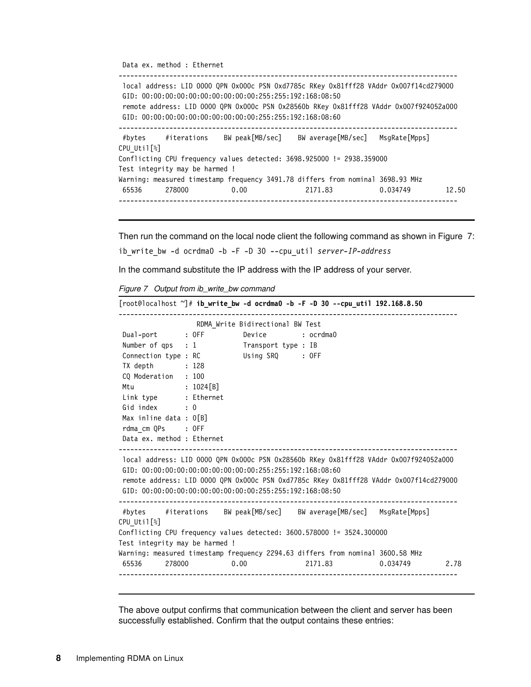Data ex. method : Ethernet -------------------------------------------------------------------------------------- local address: LID 0000 QPN 0x000c PSN 0xd7785c RKey 0x81fff28 VAddr 0x007f14cd279000 GID: 00:00:00:00:00:00:00:00:00:00:255:255:192:168:08:50 remote address: LID 0000 QPN 0x000c PSN 0x28560b RKey 0x81fff28 VAddr 0x007f924052a000 GID: 00:00:00:00:00:00:00:00:00:00:255:255:192:168:08:60 --------------------------------------------------------------------------------------- #bytes #iterations BW peak[MB/sec] BW average[MB/sec] MsgRate[Mpps] CPU\_Util[%] Conflicting CPU frequency values detected: 3698.925000 != 2938.359000 Test integrity may be harmed ! Warning: measured timestamp frequency 3491.78 differs from nominal 3698.93 MHz 65536 278000 0.00 2171.83 0.034749 12.50 ---------------------------------------------------------------------------------------

Then run the command on the local node client the following command as shown in [Figure 7](#page-7-0): ib\_write\_bw -d ocrdma0 -b -F -D 30 --cpu\_util *server-IP-address*

In the command substitute the IP address with the IP address of your server.

<span id="page-7-0"></span>*Figure 7 Output from ib\_write\_bw command*

|                                |                  |                                                                                                                          | $[root@localhost "]$ # ib_write_bw -d ocrdma0 -b -F -D 30 --cpu_util 192.168.8.50                                                                                               |  |
|--------------------------------|------------------|--------------------------------------------------------------------------------------------------------------------------|---------------------------------------------------------------------------------------------------------------------------------------------------------------------------------|--|
|                                |                  | RDMA Write Bidirectional BW Test                                                                                         |                                                                                                                                                                                 |  |
|                                |                  | Dual-port : OFF Device : ocrdma0                                                                                         |                                                                                                                                                                                 |  |
|                                |                  | Number of qps : 1 Transport type : IB                                                                                    |                                                                                                                                                                                 |  |
|                                |                  | Connection type : RC Using SRQ : OFF                                                                                     |                                                                                                                                                                                 |  |
| TX depth                       | $\therefore$ 128 |                                                                                                                          |                                                                                                                                                                                 |  |
| CQ Moderation : 100            |                  |                                                                                                                          |                                                                                                                                                                                 |  |
| Mtu : 1024[B]                  |                  |                                                                                                                          |                                                                                                                                                                                 |  |
| Link type : Ethernet           |                  |                                                                                                                          |                                                                                                                                                                                 |  |
| Gid index : 0                  |                  |                                                                                                                          |                                                                                                                                                                                 |  |
| Max inline data : $0$ [B]      |                  |                                                                                                                          |                                                                                                                                                                                 |  |
| rdma cm QPs : OFF              |                  |                                                                                                                          |                                                                                                                                                                                 |  |
| Data ex. method : Ethernet     |                  |                                                                                                                          |                                                                                                                                                                                 |  |
|                                |                  | GID: $00:00:00:00:00:00:00:00:00:00:255:255:192:168:08:60$<br>GID: $00:00:00:00:00:00:00:00:00:00:255:255:192:168:08:50$ | local address: LID 0000 QPN 0x000c PSN 0x28560b RKey 0x81fff28 VAddr 0x007f924052a000<br>remote address: LID 0000 QPN 0x000c PSN 0xd7785c RKey 0x81fff28 VAddr 0x007f14cd279000 |  |
| CPU Util <sup>[2]</sup>        |                  |                                                                                                                          | #bytes #iterations BW peak[MB/sec] BW average[MB/sec] MsgRate[Mpps]                                                                                                             |  |
|                                |                  |                                                                                                                          | Conflicting CPU frequency values detected: 3600.578000 != 3524.300000                                                                                                           |  |
| Test integrity may be harmed ! |                  |                                                                                                                          |                                                                                                                                                                                 |  |
|                                |                  |                                                                                                                          | Warning: measured timestamp frequency 2294.63 differs from nominal 3600.58 MHz                                                                                                  |  |
|                                |                  |                                                                                                                          |                                                                                                                                                                                 |  |

The above output confirms that communication between the client and server has been successfully established. Confirm that the output contains these entries: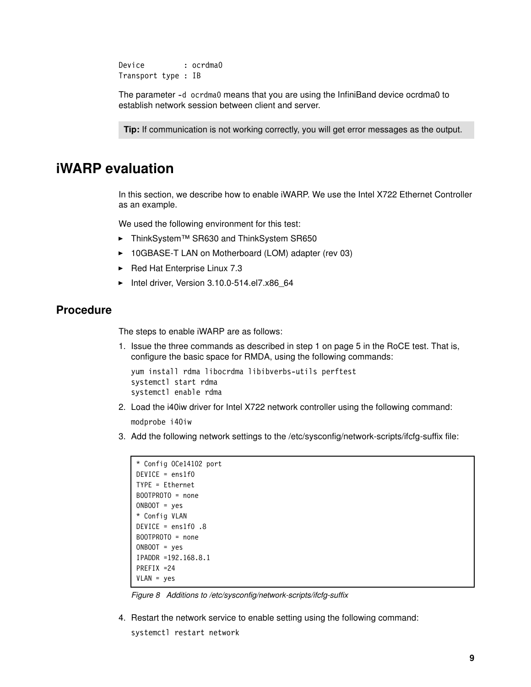Device : ocrdma0 Transport type : IB

The parameter -d ocrdma0 means that you are using the InfiniBand device ocrdma0 to establish network session between client and server.

**Tip:** If communication is not working correctly, you will get error messages as the output.

## <span id="page-8-0"></span>**iWARP evaluation**

In this section, we describe how to enable iWARP. We use the Intel X722 Ethernet Controller as an example.

We used the following environment for this test:

- ThinkSystem™ SR630 and ThinkSystem SR650
- ► 10GBASE-T LAN on Motherboard (LOM) adapter (rev 03)
- Red Hat Enterprise Linux 7.3
- ► Intel driver, Version 3.10.0-514.el7.x86\_64

#### **Procedure**

The steps to enable iWARP are as follows:

1. Issue the three commands as described in step [1 on page 5](#page-4-2) in the RoCE test. That is, configure the basic space for RMDA, using the following commands:

```
yum install rdma libocrdma libibverbs-utils perftest
systemctl start rdma
systemctl enable rdma
```
2. Load the i40iw driver for Intel X722 network controller using the following command:

modprobe i40iw

3. Add the following network settings to the /etc/sysconfig/network-scripts/ifcfg-suffix file:

```
* Config OCe14102 port
DEVICE = ens1f0
TYPE = Ethernet
BOOTPROTO = none
ONBOOT = yes
* Config VLAN
DEVICE = ens1f0 .8
BOOTPROTO = none
ONBOOT = yes
IPADDR =192.168.8.1
PREFIX =24
VLAN = yes
```
*Figure 8 Additions to /etc/sysconfig/network-scripts/ifcfg-suffix*

4. Restart the network service to enable setting using the following command:

```
systemctl restart network
```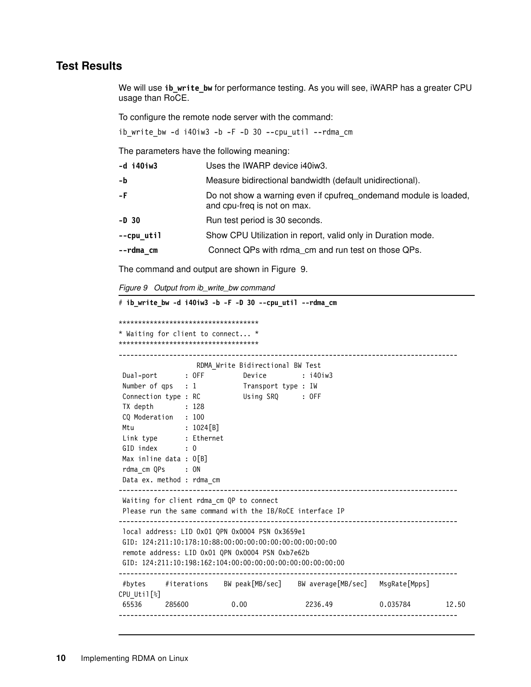#### **Test Results**

We will use **ib\_write\_bw** for performance testing. As you will see, iWARP has a greater CPU usage than RoCE.

To configure the remote node server with the command:

ib\_write\_bw -d i40iw3 -b -F -D 30 --cpu\_util --rdma\_cm

The parameters have the following meaning:

| -d i40iw3  | Uses the IWARP device i40iw3.                                                                   |
|------------|-------------------------------------------------------------------------------------------------|
| -b         | Measure bidirectional bandwidth (default unidirectional).                                       |
| -F         | Do not show a warning even if cpufreq_ondemand module is loaded,<br>and cpu-freq is not on max. |
| $-D$ 30    | Run test period is 30 seconds.                                                                  |
| --cpu util | Show CPU Utilization in report, valid only in Duration mode.                                    |
| --rdma cm  | Connect QPs with rdma_cm and run test on those QPs.                                             |

The command and output are shown in [Figure 9](#page-9-0).

<span id="page-9-0"></span>*Figure 9 Output from ib\_write\_bw command*

```
# ib_write_bw -d i40iw3 -b -F -D 30 --cpu_util --rdma_cm
************************************
* Waiting for client to connect... *
************************************
   ---------------------------------------------------------------------------------------
                 RDMA_Write Bidirectional BW Test
Dual-port : OFF Device : i40iw3
Number of qps : 1 Transport type : IW
Connection type : RC Using SRQ : OFF
 TX depth : 128
 CQ Moderation : 100
Mtu : 1024[B]
 Link type : Ethernet
GID index : 0
Max inline data : 0[B] rdma_cm QPs : ON
 Data ex. method : rdma_cm
---------------------------------------------------------------------------------------
 Waiting for client rdma_cm QP to connect
 Please run the same command with the IB/RoCE interface IP
---------------------------------------------------------------------------------------
 local address: LID 0x01 QPN 0x0004 PSN 0x3659e1
 GID: 124:211:10:178:10:88:00:00:00:00:00:00:00:00:00:00
 remote address: LID 0x01 QPN 0x0004 PSN 0xb7e62b
 GID: 124:211:10:198:162:104:00:00:00:00:00:00:00:00:00:00
---------------------------------------------------------------------------------------
 #bytes #iterations BW peak[MB/sec] BW average[MB/sec] MsgRate[Mpps] 
CPU_Util[%]
 65536 285600 0.00 2236.49 0.035784 12.50
---------------------------------------------------------------------------------------
```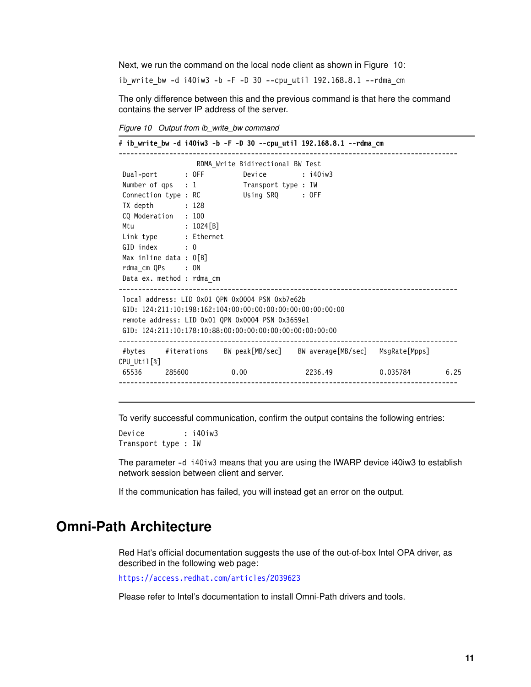Next, we run the command on the local node client as shown in [Figure 10:](#page-10-1)

ib\_write\_bw -d i40iw3 -b -F -D 30 --cpu\_util 192.168.8.1 --rdma\_cm

The only difference between this and the previous command is that here the command contains the server IP address of the server.

<span id="page-10-1"></span>*Figure 10 Output from ib\_write\_bw command*

|                                                                |  |                                  | # ib write bw -d i40iw3 -b -F -D 30 --cpu util 192.168.8.1 --rdma cm |  |  |
|----------------------------------------------------------------|--|----------------------------------|----------------------------------------------------------------------|--|--|
|                                                                |  | RDMA Write Bidirectional BW Test |                                                                      |  |  |
| Dual-port : OFF Device : i40iw3                                |  |                                  |                                                                      |  |  |
| Number of qps : 1 Transport type : IW                          |  |                                  |                                                                      |  |  |
| Connection type : RC Using SRQ : OFF                           |  |                                  |                                                                      |  |  |
| TX depth<br>: 128                                              |  |                                  |                                                                      |  |  |
| CQ Moderation : 100                                            |  |                                  |                                                                      |  |  |
| Mtu<br>$: 1024 \, \lceil B \rceil$                             |  |                                  |                                                                      |  |  |
| Link type : Ethernet                                           |  |                                  |                                                                      |  |  |
| GID index : 0                                                  |  |                                  |                                                                      |  |  |
| Max inline data : $0[B]$                                       |  |                                  |                                                                      |  |  |
| rdma cm QPs : ON                                               |  |                                  |                                                                      |  |  |
| Data ex. method : rdma cm                                      |  |                                  |                                                                      |  |  |
| local address: LID 0x01 QPN 0x0004 PSN 0xb7e62b                |  |                                  |                                                                      |  |  |
| $GID: 124:211:10:198:162:104:00:00:00:00:00:00:00:00:00:00:00$ |  |                                  |                                                                      |  |  |
| remote address: LID 0x01 QPN 0x0004 PSN 0x3659e1               |  |                                  |                                                                      |  |  |
| GID: $124:211:10:178:10:88:00:00:00:00:00:00:00:00:00:00:00$   |  |                                  |                                                                      |  |  |
|                                                                |  |                                  |                                                                      |  |  |
|                                                                |  |                                  | #bytes #iterations BW peak[MB/sec] BW average[MB/sec] MsgRate[Mpps]  |  |  |
| CPU Util[%]                                                    |  |                                  |                                                                      |  |  |
|                                                                |  |                                  | 65536 285600 0.00 2236.49 0.035784 6.25                              |  |  |
|                                                                |  |                                  |                                                                      |  |  |

To verify successful communication, confirm the output contains the following entries:

Device : i40iw3 Transport type : IW

The parameter -d i40iw3 means that you are using the IWARP device i40iw3 to establish network session between client and server.

If the communication has failed, you will instead get an error on the output.

# <span id="page-10-0"></span>**Omni-Path Architecture**

Red Hat's official documentation suggests the use of the out-of-box Intel OPA driver, as described in the following web page:

<https://access.redhat.com/articles/2039623>

Please refer to Intel's documentation to install Omni-Path drivers and tools.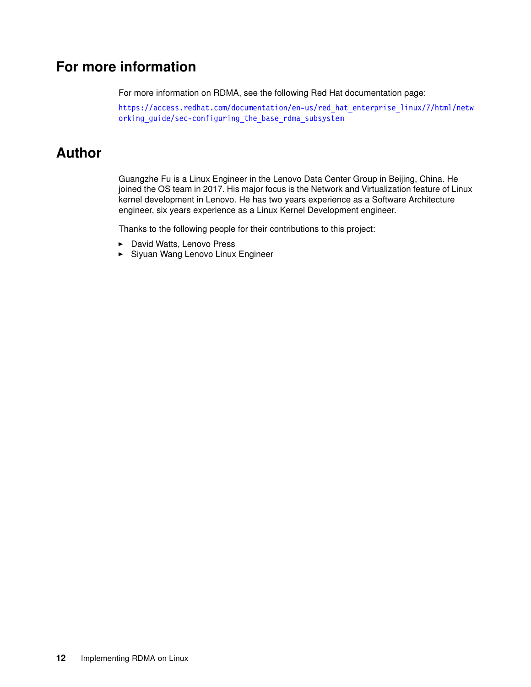# <span id="page-11-0"></span>**For more information**

For more information on RDMA, see the following Red Hat documentation page:

[https://access.redhat.com/documentation/en-us/red\\_hat\\_enterprise\\_linux/7/html/netw](https://access.redhat.com/documentation/en-us/red_hat_enterprise_linux/7/html/networking_guide/sec-configuring_the_base_rdma_subsystem) [orking\\_guide/sec-configuring\\_the\\_base\\_rdma\\_subsystem](https://access.redhat.com/documentation/en-us/red_hat_enterprise_linux/7/html/networking_guide/sec-configuring_the_base_rdma_subsystem)

# <span id="page-11-1"></span>**Author**

Guangzhe Fu is a Linux Engineer in the Lenovo Data Center Group in Beijing, China. He joined the OS team in 2017. His major focus is the Network and Virtualization feature of Linux kernel development in Lenovo. He has two years experience as a Software Architecture engineer, six years experience as a Linux Kernel Development engineer.

Thanks to the following people for their contributions to this project:

- David Watts, Lenovo Press
- Siyuan Wang Lenovo Linux Engineer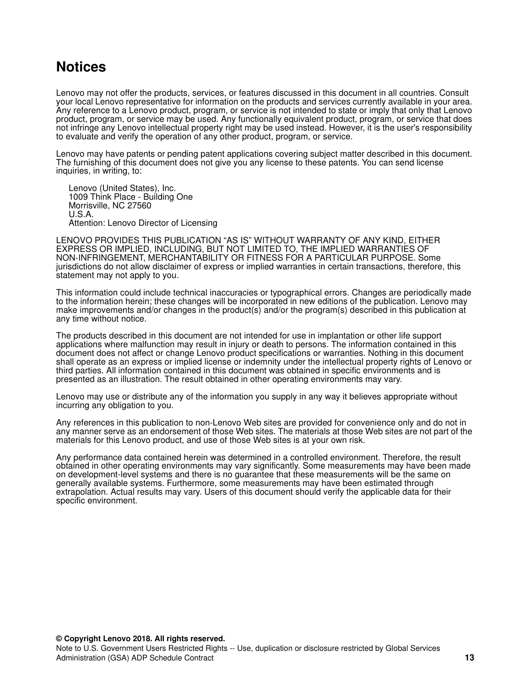# <span id="page-12-0"></span>**Notices**

Lenovo may not offer the products, services, or features discussed in this document in all countries. Consult your local Lenovo representative for information on the products and services currently available in your area. Any reference to a Lenovo product, program, or service is not intended to state or imply that only that Lenovo product, program, or service may be used. Any functionally equivalent product, program, or service that does not infringe any Lenovo intellectual property right may be used instead. However, it is the user's responsibility to evaluate and verify the operation of any other product, program, or service.

Lenovo may have patents or pending patent applications covering subject matter described in this document. The furnishing of this document does not give you any license to these patents. You can send license inquiries, in writing, to:

Lenovo (United States), Inc. 1009 Think Place - Building One Morrisville, NC 27560 U.S.A. Attention: Lenovo Director of Licensing

LENOVO PROVIDES THIS PUBLICATION "AS IS" WITHOUT WARRANTY OF ANY KIND, EITHER EXPRESS OR IMPLIED, INCLUDING, BUT NOT LIMITED TO, THE IMPLIED WARRANTIES OF NON-INFRINGEMENT, MERCHANTABILITY OR FITNESS FOR A PARTICULAR PURPOSE. Some jurisdictions do not allow disclaimer of express or implied warranties in certain transactions, therefore, this statement may not apply to you.

This information could include technical inaccuracies or typographical errors. Changes are periodically made to the information herein; these changes will be incorporated in new editions of the publication. Lenovo may make improvements and/or changes in the product(s) and/or the program(s) described in this publication at any time without notice.

The products described in this document are not intended for use in implantation or other life support applications where malfunction may result in injury or death to persons. The information contained in this document does not affect or change Lenovo product specifications or warranties. Nothing in this document shall operate as an express or implied license or indemnity under the intellectual property rights of Lenovo or third parties. All information contained in this document was obtained in specific environments and is presented as an illustration. The result obtained in other operating environments may vary.

Lenovo may use or distribute any of the information you supply in any way it believes appropriate without incurring any obligation to you.

Any references in this publication to non-Lenovo Web sites are provided for convenience only and do not in any manner serve as an endorsement of those Web sites. The materials at those Web sites are not part of the materials for this Lenovo product, and use of those Web sites is at your own risk.

Any performance data contained herein was determined in a controlled environment. Therefore, the result obtained in other operating environments may vary significantly. Some measurements may have been made on development-level systems and there is no guarantee that these measurements will be the same on generally available systems. Furthermore, some measurements may have been estimated through extrapolation. Actual results may vary. Users of this document should verify the applicable data for their specific environment.